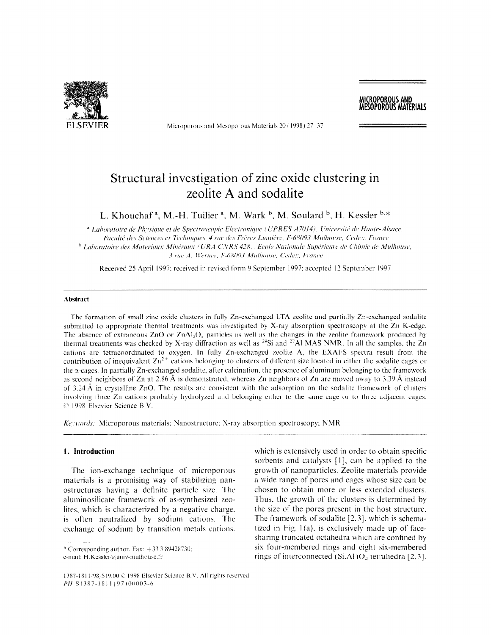

Microporous and Mesoporous Materials 20 (1998) 27 37

# Structural investigation of zinc oxide clustering in zeolite A and sodalite

L. Khouchaf<sup>a</sup>, M.-H. Tuilier<sup>a</sup>, M. Wark<sup>b</sup>, M. Soulard<sup>b</sup>, H. Kessler<sup>b,\*</sup>

<sup>a</sup> Laboratoire de Physique et de Spectroscopie Electronique (UPRES A7014), Université de Haute-Alsace, Faculté des Sciences et Techniques, 4 rue des Frères Lumière, F-68093 Mulhouse, Cedex. France <sup>b</sup> Laboratoire des Matériaux Minéraux (URA CNRS 428). Ecole Nationale Supérieure de Chimie de Mulhouse, 3 rue A. Werner, F-68093 Mulhouse, Cedex, France

Received 25 April 1997; received in revised form 9 September 1997; accepted 12 September 1997

#### Abstract

The formation of small zinc oxide clusters in fully Zn-exchanged LTA zeolitc and partially Zn-exchanged sodalitc submitted to appropriate thermal treatments was investigated by X-ray absorption spectroscopy at the Zn K-edge. The absence of extraneous  $ZnO$  or  $ZnAl_2O_4$  particles as well as the changes in the zeolite framework produced by thermal treatments was checked by X-ray diffraction as well as  $^{29}Si$  and  $^{27}Al$  MAS NMR. In all the samples. the Zn cations are tetracoordinated to oxygen. In fully Zn-exchanged zeolite A, the EXAFS spectra result from the contribution of inequivalent  $Zn^{2+}$  cations belonging to clusters of different size located in either the sodalite cages or the  $\alpha$ -cages. In partially Zn-exchanged sodalite, after calcination, the presence of aluminum belonging to the framework as second neighbors of Zn at 2.86 Å is demonstrated, whereas Zn neighbors of Zn are moved away to 3.39 Å instead of  $3.24 \text{ Å}$  in crystalline ZnO. The results are consistent with the adsorption on the sodalite framework of clusters involving three Zn cations probably hydrolyzed and belonging either to the same cage or to three adjacent cages.  $© 1998$  Elsevier Science B.V.

Keywords: Microporous materials; Nanostructure: X-ray absorption spectroscopy; NMR

#### 1. Introduction

The ion-exchange technique of microporous materials is a promising way of stabilizing nanostructures is a promoing way or sucomeing man  $\frac{1}{\sqrt{1-\frac{1}{\sqrt{1-\frac{1}{\sqrt{1-\frac{1}{\sqrt{1-\frac{1}{\sqrt{1-\frac{1}{\sqrt{1-\frac{1}{\sqrt{1-\frac{1}{\sqrt{1-\frac{1}{\sqrt{1-\frac{1}{\sqrt{1-\frac{1}{\sqrt{1-\frac{1}{\sqrt{1-\frac{1}{\sqrt{1-\frac{1}{\sqrt{1-\frac{1}{\sqrt{1-\frac{1}{\sqrt{1-\frac{1}{\sqrt{1-\frac{1}{\sqrt{1-\frac{1}{\sqrt{1-\frac{1}{\sqrt{1-\frac{1}{\sqrt{1-\frac{1}{\sqrt{1-\frac{1}{\sqrt{1-\frac{1}{\sqrt{1-\frac{1$ aluminosilicate framework of as-synthesized zeo-<br>lites, which is characterized by a negative charge. is often neutralized by sodium cations. The exchange of sodium by transition metals cations.

which is extensively used in order to obtain specific sorbents and catalysts  $[1]$ , can be applied to the growth of nanoparticlcs. Zeolite materials provide a wide range of pores and cages whose size can be chosen to obtain more or less extended clusters. CHOSCH to obtain HOTC of RSS CATCHIED CHUSICIS. thus, the growth of the chasters is determined by the size of the pores present in the host structure.<br>The framework of sodalite  $[2,3]$ , which is schemathe namework of south  $\{2, 3\}$ , which is senting- $\frac{1}{2}$  are  $\frac{1}{2}$  are continued by the confined by  $\frac{1}{2}$  and  $\frac{1}{2}$  are confined by  $\frac{1}{2}$  and  $\frac{1}{2}$  are confined by  $\frac{1}{2}$  and  $\frac{1}{2}$  and  $\frac{1}{2}$  are confined by  $\frac{1}{2}$  and  $\frac{1}{2}$  and  $\$ sharing truncated octahedra which are confined by six four-membered rings and eight six-membered<br>rings of interconnected  $(Si, A1)O<sub>a</sub>$  tetrahedra [2,3].

MICROPOROUS AND **MESOPOROUS MATERIALS** 

<sup>\*</sup> Corresponding author. Fax:  $+333389428730$ : e-mail: H.Kessler@univ-mulhouse.fr

<sup>1387-1811/98/\$19.00 © 1998</sup> Elsevier Science B.V. All rights reserved. PH S1387-1811(97)00003-6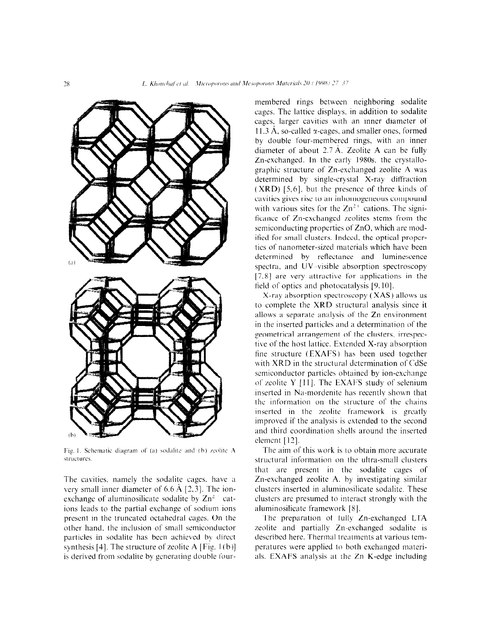

Fig. 1. Schematic diagram of (a) sodalite and (b) zeolite A structures.

The cavities, namely the sodalite cages, have a very small inner diameter of 6.6  $\AA$  [2,3]. The ionexchange of aluminosilicate sodalite by  $\text{Zn}^2$  cations leads to the partial exchange of sodium ions present in the truncated octahedral cages. On the other hand. the inclusion of small semiconductor particles in sodalite has been achieved by direct synthesis [4]. The structure of zeolite A [Fig.  $1(b)$ ] is derived from sodalite by generating double four-

membered rings between neighboring sodalite cages. The lattice displays. in addition to sodalite cages, larger cavities with an inner diameter of 11.3  $\AA$ , so-called  $\alpha$ -cages, and smaller ones, formed by double four-membered rings, with an inner diameter of about  $2.7 \text{ Å}$ . Zeolite A can be fully Zn-exchanged. In the early 1980s. the crystallographic structure of Zn-exchanged zeolite A was determined by single-crystal  $X-ray$  diffraction ( XRD) [5.6]. but the presence of three kinds of cavities gives rise to an inhomogeneous compound with various sites for the  $Zn^{2+}$  cations. The significance of Zn-exchanged zeolites stems from the semiconducting properties of ZnO, which are modified for small clusters. Indeed, the optical properties of nanometer-sized materials which have been determined by reflectance and luminescence spectra. and UV -visible absorption spectroscopy  $[7,8]$  are very attractive for applications in the field of optics and photocatalysis [9. IO].

X-ray absorption spectroscopy ( XAS) allows us to complete the XRD structural analysis since it allows a separate analysis of the Zn environment in the inserted particles and a determination of the geometrical arrangement of the clusters. irrespective of the host lattice. Extended X-ray absorption fine structure  $(EXAFS)$  has been used together with XRD in the structural determination of CdSe semiconductor particles obtained by ion-exchange of zeolite Y  $[11]$ . The EXAFS study of selenium inserted in Na-mordenite has recently shown that the information on the structure of the chains inserted in the zeolite framework is greatly improved if the analysis is extended to the second and third coordination shells around the inserted element [12].

The aim of this work is to obtain more accurate structural information on the ultra-small clusters that are present in the sodalite cages of Zn-exchanged zeolite A. by investigating similar clusters inserted in aluminosilicate sodalite. These clusters are presumed to interact strongly with the  $\frac{1}{2}$ . The framework  $\frac{1}{2}$ .  $T_{\text{min}}$  preparation of  $F_{\text{min}}$   $T_{\text{max}}$  and  $T_{\text{max}}$ 

zie preparation of tuny zn-exchanged LTA  $\alpha$ onte and partially zn-exenaliged soualite is percenture application of  $\frac{1}{2}$  and  $\frac{1}{2}$  and  $\frac{1}{2}$  and  $\frac{1}{2}$  and  $\frac{1}{2}$  and  $\frac{1}{2}$  and  $\frac{1}{2}$  and  $\frac{1}{2}$  and  $\frac{1}{2}$  and  $\frac{1}{2}$  and  $\frac{1}{2}$  and  $\frac{1}{2}$  and  $\frac{1}{2}$  and  $\frac{1}{2}$  and peratures were applied to both exchanged materials. EXAFS analysis at the Zn K-edge including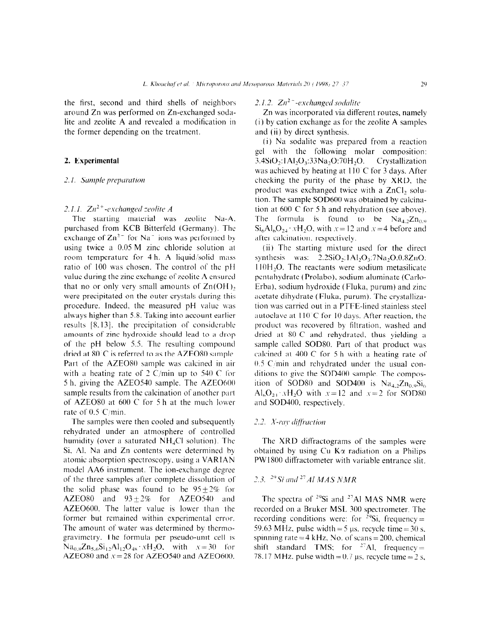the first, second and third shells of neighbors around Zn was performed on Zn-exchanged sodalite and zeolite  $A$  and revealed a modification in the former depending on the treatment.

### 2. Experimental

#### 2.1. Sample preparation

## 2.1.1.  $Zn^{2+}$ -exchanged zeolite A

The starting material was zeolite Na-A. purchased from KCB Bitterfeld (Germany). The exchange of  $\text{Zn}^{2-}$  for Na<sup>-</sup> ions was performed by using twice a  $0.05 M$  zinc chloride solution at room temperature for 4 h. A liquid/solid mass ratio of 100 was chosen. The control of the pII value during the zinc exchange of zeolite A ensured that no or only very small amounts of  $Zn(OH)$ , were precipitated on the outer crystals during this procedure. Indeed, the measured pH value was always higher than 5.8. Taking into account earlier results  $[8,13]$ , the precipitation of considerable amounts of zinc hydroxide should Icad to a drop of the pH below 5.5. The resulting compound dried at 80 C is referred to as the AZEO80 sample. Part of the AZEO80 sample was calcined in air with a heating rate of  $2 \text{ C/min}$  up to 540 C for 5 h, giving the AZEO540 sample. The AZEO600 sample results from the calcination of another part of AZEO80 at  $600^\circ$ C for 5 h at the much lower rate of  $0.5$  C/min.

The samples were then cooled and subsequently rehydrated under an atmosphere of controlled humidity (over a saturated  $NH<sub>4</sub>Cl$  solution). The Si. Al. Na and Zn contents were determined by atomic absorption spectroscopy, using a VARIAN model AA6 instrument. The ion-exchange degree of the three samples after complete dissolution of the solid phase was found to be  $95 + 2\%$  for  $AZEO80$  and  $93+2\%$  for  $AZEO540$  and AZE0600. The latter value is lower than the former but remained within experimental error. The amount of water was determined by thermogravimetry. The formula per pseudo-unit cell is  $Na_{0.8}Zn_{5.6}Si_{12}Al_{12}O_{48}$  :  $xH_2O$ , with  $x = 30$  for AZEO80 and  $x = 28$  for AZEO540 and AZEO600.

# 2.1.2.  $Zn^2$  -exchanged sodalite

Zn was incorporated via different routes, namely  $(i)$  by cation exchange as for the zeolite A samples and (ii) by direct synthesis.

(i) Na sodalite was prepared from a reaction gel with the following molar composition: 3.4Si0,: 1 Ai20,:33Na,0:70H,C). Crystallization was achieved by heating at  $110^{\circ}$ C for 3 days. After checking the purity of the phase by XRD, the product was exchanged twice with a ZnCI, solution. The sample SOD600 was obtained by calcination at  $600^\circ$ C for 5 h and rehydration (see above). The formula is found to be  $Na<sub>4,2</sub>Zn<sub>0,9</sub>$  $Si<sub>6</sub>Al<sub>6</sub>O<sub>24</sub> \cdot xH<sub>2</sub>O$ , with  $x=12$  and  $x=4$  before and after calcination, respectively.

(ii) The starting mixture used for the direct synthesis was:  $2.2SiO<sub>2</sub>:1 Al<sub>2</sub>O<sub>3</sub>:7Na<sub>2</sub>O:0.8ZnO:$  $110H<sub>2</sub>O$ . The reactants were sodium metasilicate pentahydrate (Prolabo), sodium aluminate (Carlo-Erba), sodium hydroxide (Fluka, purum) and zinc acetate dihydrate (Fluka, purum). The crystallization was carried out in a PTFE-lined stainless steel autoclave at  $110^{\circ}$ C for 10 days. After reaction, the product was recovered by filtration. washed and dried at 80 C and rehydrated, thus yielding a sample called SODSO. Part of that product was calcined at 400 C for 5 h with a heating rate of  $0.5$  C/min and rehydrated under the usual conditions to give the  $SOD400$  sample. The composition of SOD80 and SOD400 is  $Na<sub>4,2</sub>Zn<sub>0.9</sub>Si<sub>6</sub>$ Al<sub>6</sub>O<sub>24</sub>  $xH_2O$  with  $x=12$  and  $x=2$  for SOD80 and SOD400, respectively.

## 2.2. X-ray diffraction

The XRD diffractograms of the samples were obtained by using Cu  $K\alpha$  radiation on a Philips PW1800 diffractometer with variable entrance slit.

# 2.3. <sup>29</sup> Si and <sup>27</sup> Al MAS NMR

The spectra of  $2^9$ Si and  $2^7$ Al MAS NMR were recorded on a Bruker MSL 300 spectrometer. The recording conditions were: for  $^{29}Si$ , frequency = 59.63 MHz, pulse width = 5  $\mu$ s. recycle time = 30 s. spinning rate=4 kHz. No. of scans= $200$ , chemical  $s$ <sup>phining</sup> tate  $-\pi$  MLz<sub>3</sub> for  $\sigma$   $\frac{3741}{2}$  for entimed  $78.17 M_{\odot}$  m  $18.3 \times 10^{1}$   $M_{\odot}$   $7.3 \times 10^{1}$   $M_{\odot}$  time  $3.3 \times 10^{1}$   $M_{\odot}$   $3.3 \times 10^{1}$   $M_{\odot}$   $3.3 \times 10^{1}$   $M_{\odot}$   $3.3 \times 10^{1}$   $M_{\odot}$   $3.3 \times 10^{1}$   $M_{\odot}$   $3.3 \times 10^{1}$   $M_{\odot}$   $3.3 \times 10^{1}$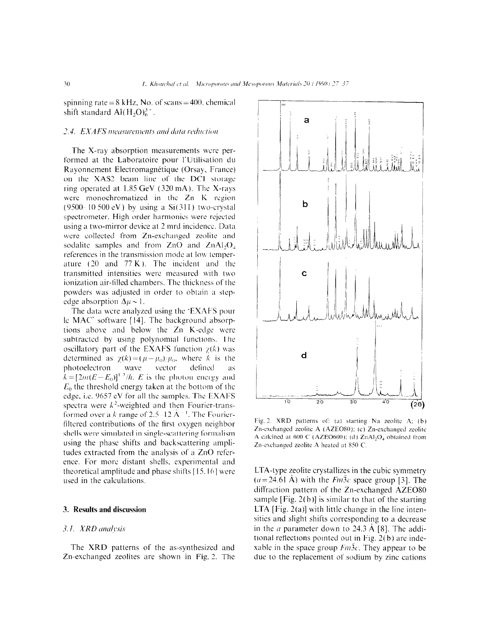spinning rate =  $8$  kHz, No. of scans =  $400$ . chemical shift standard  $AI(H,O)<sub>6</sub><sup>3</sup>$ .

## 2.4. EXAFS measurements and data reduction

The X-ray absorption measurements were performed at the Laboratoire pour-l'Utilisation du Rayonnement Electromagnétique (Orsay, France) on the XAS2 beam line of the DCI storage ring operated at  $1.85 \text{ GeV}$  (320 mA). The X-rays were monochromatized in the Zn K region (9500-10 500 eV) by using a  $Si(311)$  two-crystal spectrometer. High order harmonics were rejected using a two-mirror device at 2 mrd incidence. Data were collected from Zn-exchanged zeolite and sodalite samples and from  $ZnO$  and  $ZnAl_2O<sub>4</sub>$ references in the transmission mode at low temperature  $(20 \text{ and } 77 \text{ K})$ . The incident and the transmitted intensities were measured \vith two ionization air-filled chambers. The thickness of the powders was adjusted in order to obtain a stepedge absorption  $\Delta \mu \sim 1$ .

The data were analyzed using the  $EXAFS$  pour le MAC' software [ 141. The background absorptions above and below the Zn K-edge were subtracted by using polynomial functions. The oscillatory part of the EXAFS function  $\chi(k)$  was determined as  $\chi(k) = (\mu - \mu_0)/\mu_0$ , where k is the photoelectron wave vactor defined as  $\hat{h} = [2m(E-E)]^{1/2}/h$ . E is the photon energy and  $E_0$  the threshold energy taken at the bottom of the edge, i.e. 9657 eV for all the samples. The EXAFS spectra were  $k^2$ -weighted and then Fourier-transformed over a k range of 2.5  $\cdot$  12 Å  $^{-1}$ . The Fourierfiltered contributions of the first oxygen neighbor shells were simulated in single-scattering formalism using the phase shifts and backscattering amplitudes extracted from the analysis of a ZnO reference. For more distant shells, experimental and theoretical amplitude and phase shifts  $[15, 16]$  were used in the calculations.

#### 3. Results and discussion

### 3.1. XRD analysis

The XRD patterns of the as-synthesized and The AKD patterns of the as-symmestical and<br> $\overline{z}$ 



Fig. 2. XRD patterns of: (a) starting Na zeolite A; (b) Zn-exchanged zeolite A (AZEO80); (c) Zn-exchanged zeolite A calcined at 600 C (AZEO600); (d)  $ZnAl<sub>2</sub>O<sub>4</sub>$  obtained from Zn-exchanged zeolite A heated at 850 C.

LTA-type zeolite crystallizes in the cubic symmetry  $(a = 24.61 \text{ Å})$  with the *Fm3c* space group [3]. The  $\frac{d}{dx}$  and  $\frac{d}{dx}$  and  $\frac{d}{dx}$  and  $\frac{d}{dx}$  and  $\frac{d}{dx}$  and  $\frac{d}{dx}$  and  $\frac{d}{dx}$  and  $\frac{d}{dx}$  and  $\frac{d}{dx}$  and  $\frac{d}{dx}$  and  $\frac{d}{dx}$  and  $\frac{d}{dx}$  and  $\frac{d}{dx}$  and  $\frac{d}{dx}$  and  $\frac{d}{dx}$  and  $\frac{d}{dx}$  a sample  $\sum_{i=1}^{n} \sum_{i=1}^{n} \sum_{i=1}^{n} \sum_{i=1}^{n} \sum_{i=1}^{n} \sum_{i=1}^{n} \sum_{i=1}^{n} \sum_{i=1}^{n} \sum_{i=1}^{n} \sum_{i=1}^{n} \sum_{i=1}^{n} \sum_{i=1}^{n} \sum_{i=1}^{n} \sum_{i=1}^{n} \sum_{i=1}^{n} \sum_{i=1}^{n} \sum_{i=1}^{n} \sum_{i=1}^{n} \sum_{i=1}^{n} \sum_{i=1}^{n} \sum_{i=1}^{n} \sum_{$ sample [Fig. 2(b)] is similar to that of the starting LTA [Fig. 2(a)] with little change in the line inten $s_{\text{max}}$  is  $\omega(a)$  with near enange in the and inten- $\frac{1}{2}$  and sign simes corresponding to a decrease in the *a* parameter down to 24.3 Å [8]. The additional reflections pointed out in Fig.  $2(b)$  are indexable in the space group  $Fm\overline{3}c$ . They appear to be due to the replacement of sodium by zinc cations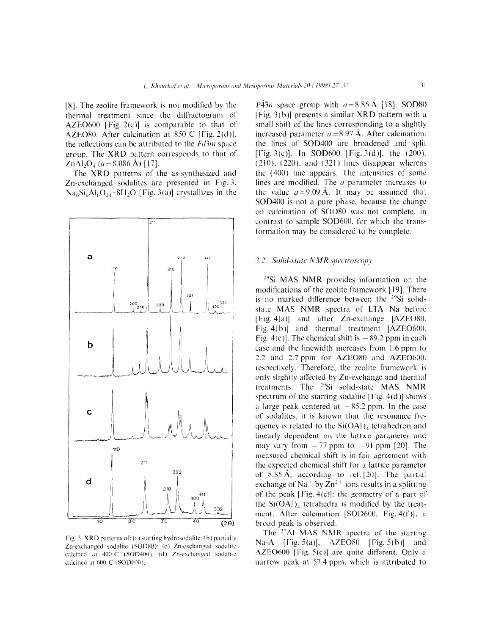[8]. The reolite framework is not modified by the thermal treatment since the diffractogram of AZE0600 [Fig. 2(c)] is comparable to that of' AZEO80. After calcination at 850 °C [Fig. 2(d)]. the reflections can be attributed to the  $Fd3m$  space group. The XRD pattern corresponds to that of'  $ZnAl_2O_4$  ( $a=8.086$  Å) [17].

The XRD patterns of the as-synthesized and Zn-exchanged sodalites are presented in Fig. 3.  $Na<sub>6</sub>Si<sub>6</sub>Al<sub>6</sub>O<sub>24</sub>·8H<sub>2</sub>O$  [Fig. 3(a)] crystallizes in the



Fig. 3. XRD patterns of: (a) starting hydrosodalite; (b) partially Zn-exchanged sodalite (SOD80); (c) Zn-exchanged sodalite calcined at 400°C (SOD400); (d) Zn-exchanged sodalite calcined at 600 C (SOD600).

 $P\bar{4}3n$  space group with  $a = 8.85$  Å [18]. SOD80 [Fig.  $3(b)$ ] presents a similar XRD pattern with a small shift of the lines corresponding to a slightly increased parameter  $a= 8.97$  Å. After calcination. the lines of SOD400 are broadened and split [Fig. 3(c)]. In SOD600 [Fig. 3(d)], the  $(200)$ ,  $(210)$ ,  $(220)$ , and  $(321)$  lines disappear whereas the (400) line appears. The intensities of some lines are modified. The  $\alpha$  parameter increases to the value  $a=9.09$  Å. It may be assumed that SOD400 is not a pure phase. because the change on calcination of SOD80 was not complete. in contrast to sample SOD600, for which the transformation may be considered to be complete.

#### 3.2. Solid-state NMR spectroscopy

 $\frac{100}{100}$  MAS NMR provides information on the set of the theorem on the theorem on the set of the set of the set of the set of the set of the set of the set of the set of the set of the set of the set of the set of th  $\frac{31}{19}$  in  $\frac{191}{191}$   $\frac{191}{191}$   $\frac{191}{191}$   $\frac{191}{191}$   $\frac{191}{191}$   $\frac{191}{191}$ modulcations of the zeoffic balliework  $119$ . There  $\frac{1}{2}$  state Mass number of LTA  $\frac{1}{2}$  spectral of LTA  $\frac{1}{2}$  spectra  $\frac{1}{2}$ state MAS NMR spectra of LTA Na before [Fig. 4(a)] and after Zn-exchange [AZEO80, Fig.  $4(b)$ ] and thermal treatment [AZEO600, Fig. 4(c)]. The chemical shift is  $-89.2$  ppm in each case and the linewidth increases from 1.6 ppm to 2.2 and 2.7 ppm for  $AZEO80$  and  $AZEO600$ , respectively. Therefore, the zeolite framework is only slightly affected by Zn-exchange and thermal treatments. The  $^{29}Si$  solid-state MAS NMR spectrum of the starting sodalite [Fig.  $4(d)$ ] shows a large peak centered at  $-85.2$  ppm. In the case of sodalites, it is known that the resonance frequency is related to the  $Si(OAl)_4$  tetrahedron and linearly dependent on the lattice parameter and may vary from  $-77$  ppm to  $-91$  ppm [20]. The measured chemical shift is in fair agreement with the expected chemical shift for a lattice parameter of  $8.85 \text{ Å}$ , according to ref. [20]. The partial exchange of Na<sup>+</sup> by  $Zn^{2+}$  ions results in a splitting of the peak  $[Fig, 4(e)]$ ; the geometry of a part of the  $Si(OAl)_4$  tetrahedra is modified by the treatment. After calcination [SOD600, Fig.  $4(f)$ ], a broad peak is observed.

The  $27$ Al MAS NMR spectra of the starting Na-A [Fig. 5(a)],  $AZEO80$  [Fig. 5(b)] and AZEO600 [Fig.  $5(c)$ ] are quite different. Only a narrow peak at 57.4 ppm, which is attributed to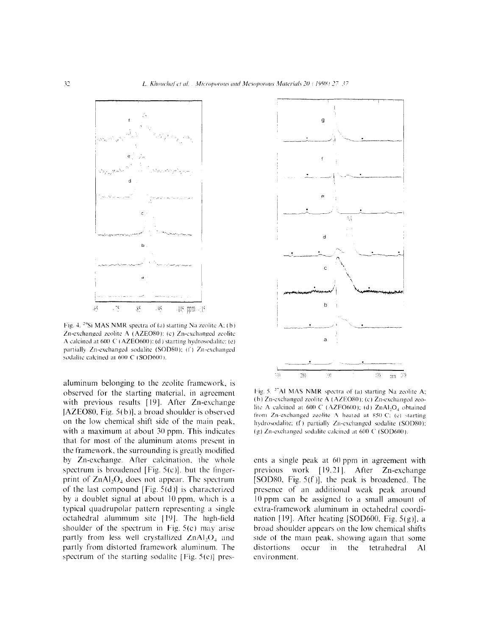

Fig. 4. <sup>29</sup>Si MAS NMR spectra of (a) starting Na zeolite A; (b) Zn-exchanged zeolite A (AZEO80); (c) Zn-exchanged zeolite A calcined at 600 C (AZEO600): (d) starting hydrosodalite: (e) partially Zn-exchanged sodalite (SOD80); (f) Zn-exchanged sodalite calcined at 600 C (SOD600).

aluminum belonging to the zeolite framework, is observed for the starting material, in agreement with previous results [19]. After Zn-exchange [AZEO80, Fig.  $5(b)$ ], a broad shoulder is observed on the tow chemical shift side of the main peak. with a maximum at about 30 ppm. This indicates that for most of the aluminum atoms present in the framework, the surrounding is greatly moditied by Zn-exchange. After calcination, the whole spectrum is broadened [Fig.  $5(c)$ ]. but the fingerprint of  $ZnAl<sub>2</sub>O<sub>4</sub>$  does not appear. The spectrum of the last compound [Fig.  $5(d)$ ] is characterized by a doublet signal at about 10 ppm, which is a typical quadrupolar pattern representing a single octahedral aluminum site [19]. The high-field shoulder of the spectrum in Fig. 5(c) may arise partly from less well crystallized  $ZnAI<sub>2</sub>$  and partly from distorted framework aluminum. The partly from distorted framework alumnum. The starting sodalities are sold



Fig. 5. <sup>27</sup>Al MAS NMR spectra of (a) starting Na zeolite A; (b) Zn-exchanged zeolite A (AZEO80); (c) Zn-exchanged zeolite A calcined at 600 C (AZEO600); (d) ZnAl<sub>2</sub>O<sub>4</sub> obtained from Zn-exchanged zeolite A heated at 850 C; (e) starting hydrosodalite; (f) partially Zn-exchanged sodalite (SOD80); (g) Zn-exchanged sodalite calcined at 600 C (SOD600).

ents a single peak at 60 ppm in agreement with previous work [19.21]. After Zn-exchange [SOD80, Fig.  $5(f)$ ], the peak is broadened. The presence of an additional weak peak around  $10$  ppm can be assigned to a small amount of extra-framework aluminum in octahedral coordination [19]. After heating [SOD600, Fig.  $5(g)$ ], a broad shoulder appears on the low chemical shifts sional should appears on the fow enemies sints  $\frac{d}{dx}$  of the main peak,  $\frac{d}{dx}$  in again that some distortions<br>environment.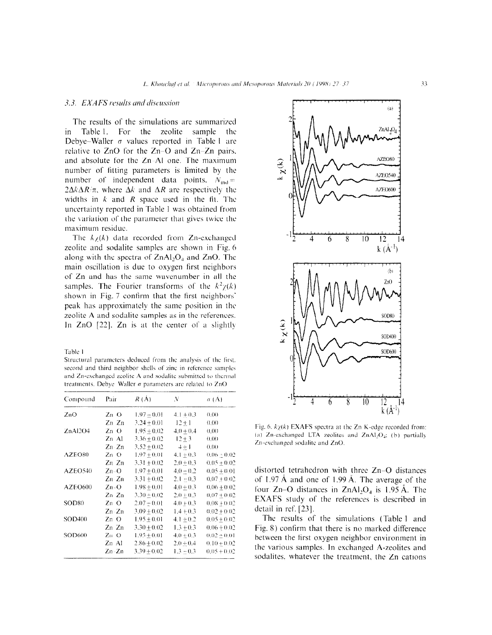## 3.3. EXAFS results and discussion

The results of the simulations are summarized in Table 1. For the zcolite sample the Debye-Waller  $\sigma$  values reported in Table I are relative to  $ZnO$  for the  $Zn-O$  and  $Zn-Zn$  pairs. and absolute for the Zn-Al one. The maximum number of litting parameters is limited by the number of independent data points.  $N_{\text{ind}} =$  $2\Delta k\Delta R/\pi$ , where  $\Delta k$  and  $\Delta R$  are respectively the widths in  $k$  and  $R$  space used in the fit. The uncertainty reported in Table 1 was obtained from the variation of the parameter that gives twice the maximum residue.

The  $k_{\text{Z}}(k)$  data recorded from Zn-exchanged zeolite and sodalite samples are shown in Fig. 6 along with the spectra of  $ZnAl<sub>2</sub>O<sub>4</sub>$  and  $ZnO$ . The main oscillation is due to oxygen first neighbors of Zn and has the same wavenumber in ail the samples. The Fourier transforms of the  $k^2\chi(k)$ shown in Fig. 7 confirm that the first neighbors' peak has approximately the same position in the zeolite A and sodalite samples as in the references. In  $ZnO$  [22].  $Zn$  is at the center of a slightly

Table 1

Structural parameters deduced from the analysis of the first. second and third neighbor shells of zinc in reference samples and Zn-exchanged zeolite A and sodalite submitted to thermal treatments. Debye Waller  $\sigma$  parameters are related to ZnO

| Compound          | Pair          | R(A)            | N             | $\sigma(A)$     |
|-------------------|---------------|-----------------|---------------|-----------------|
| ZnO               | $Zn-O$        | $1.97 \pm 0.01$ | $4.1 + 0.3$   | 0,00            |
|                   | Zn Zn         | $3.24 + 0.01$   | $12 + 1$      | (1)(1)          |
| ZnAl2O4           | Zn O          | $1.95 + 0.02$   | $4.0 + 0.4$   | 0.00            |
|                   | Zn Al         | $3.36 + 0.02$   | $12 + 3$      | 0.00            |
|                   | $Zn \cdot Zn$ | $3.52 + 0.02$   | $+ + 1$       | 0.00            |
| AZEO80            | Zn O          | $1.97 + 0.01$   | $4.1 + 0.3$   | $0.06 \pm 0.02$ |
|                   | Zn Zn         | $3.31 + 0.02$   | $2.0 + 0.3$   | $0.05 + 0.02$   |
| AZEO540           | $Zn-O$        | $1.97 + 0.01$   | $4.0 - 0.2$   | $0.05 + 0.01$   |
|                   | Zn Zn         | $3.31 + 0.02$   | $2.1 + 0.3$   | $0.07 + 0.02$   |
| AZEO600           | $Zn-O$        | $1.98 + 0.01$   | $4.0 + 0.3$   | $0.06 + 0.02$   |
|                   | Zn Zn         | $3.30 + 0.02$   | $2.0 + 0.3$   | $0.07 + 0.02$   |
| SOD <sub>80</sub> | $Zn$ O        | $2.07 + 0.01$   | $4.0 + 0.3$   | $0.08 + 0.02$   |
|                   | $Zn-Zn$       | $3.09 + 0.02$   | $1.4 + 0.3$   | $0.02 + 0.02$   |
| SOD400            | Zn O          | $1.95 + 0.01$   | $4.1 + 0.2$   | $0.05 + 0.02$   |
|                   | Zn Zn         | $3.30 + 0.02$   | $1.3 + 0.3$   | $0.06 + 0.02$   |
| SOD600            | $Zn$ O        | $1.95 \pm 0.01$ | $4.0 \pm 0.3$ | $0.02 + 0.01$   |
|                   | Zn Al         | $2.86 + 0.02$   | $2.0 \pm 0.4$ | $0.10 \pm 0.02$ |
|                   | Zn-Zn         | $3.39 \pm 0.02$ | $1.3 - 0.3$   | $0.05 + 0.02$   |



Fig. 6.  $k\chi(k)$  EXAFS spectra at the Zn K-edge recorded from: (a) Zn-exchanged LTA zeolites and ZnAl<sub>2</sub>O<sub>4</sub>; (b) partially Zn-exchanged sodalite and ZnO.

distorted tetrahedron with three Zn-0 distances of 1.97  $\AA$  and one of 1.99  $\AA$ . The average of the four Zn-O distances in  $ZnAl_2O_4$  is 1.95 Å. The EXAFS study of the references is described in detail in ref. [23].

The results of the simulations (Table 1 and Fig. 8) confirm that there is no marked difference between the first oxygen neighbor environment in the various samples. In exchanged A-zeolites and sodalites. whatever the treatment, the Zn cations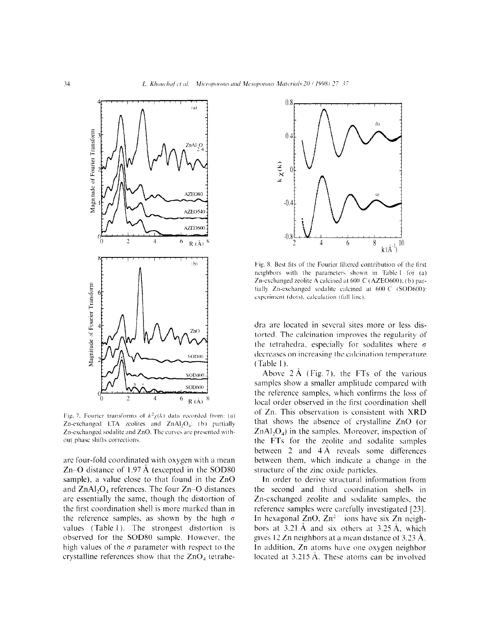

Fig. 7. Fourier transforms of  $k^2 \chi(k)$  data recorded from: (a) Zn-exchanged LTA zeolites and ZnAl<sub>2</sub>O<sub>4</sub>; (b) partially Zn-exchanged sodalite and ZnO. The curves are presented without phase shifts corrections

arc four-fold coordinated with oxygen with a mean Zn–O distance of  $1.97 \text{ Å}$  (excepted in the SOD80 sample), a value close to that found in the ZnO and  $ZnAl_2O_4$  references. The four  $Zn-O$  distances are essentially the same, though the distortion of the first coordination shell is more marked than in the reference samples, as shown by the high  $\sigma$ values (Table 1). The strongest distortion is observed for the SOD80 sample. However, the house vertical to the CDD of sample. However, the corrected and  $\sigma$  parameter with respect to the



Fig. 8. Best fits of the Fourier filtered contribution of the first neighbors with the parameters shown in Table 1 for (a) Zn-exchanged zeolite A calcined at 600 °C (AZEO600); (b) partially Zn-exchanged sodalite calcined at 600 C (SOD600): experiment (dots), calculation (full line).

dra are located in several sites more or less distorted. The calcination improves the regularity of the tetrahedra, especially for sodalites where  $\sigma$ decreases on increasing the calcination temperature  $(Table 1)$ .

Above 2 A (Fig. 7). the FTs of the various samples show a smaller amplitude compared with the reference samples, which confirms the loss of local order observed in the first coordination shell of Zn. This observation is consistent with XRD that shows the absence of crystalline ZnO (or  $ZnAl<sub>2</sub>O<sub>4</sub>$ ) in the samples. Moreover, inspection of the FTs for the zeolite and sodalite samples between 2 and  $4\text{\AA}$  reveals some differences between them, which indicate a change in the structure of the zinc oxide particles.

In order to derive structural information from the second and third coordination shells in Zn-exchanged zeolite and sodalite samples, the reference samples were carefully investigated [23]. In hexagonal  $ZnO$ ,  $Zn^2$  ions have six  $Zn$  neigh- $\frac{1}{2}$  in  $\frac{2}{3}$  . And  $\frac{1}{2}$  in  $\frac{1}{2}$  in  $\frac{1}{2}$  and six  $\frac{1}{2}$  in  $\frac{1}{2}$  in  $\frac{1}{2}$ bors at  $3.21$  A and six biners at  $3.23$  A, which gives 12 Zn neighbors at a mean distance of 3.23  $\AA$ . In addition, Zn atoms have one oxygen neighbor located at  $3.215 \text{ Å}$ . These atoms can be involved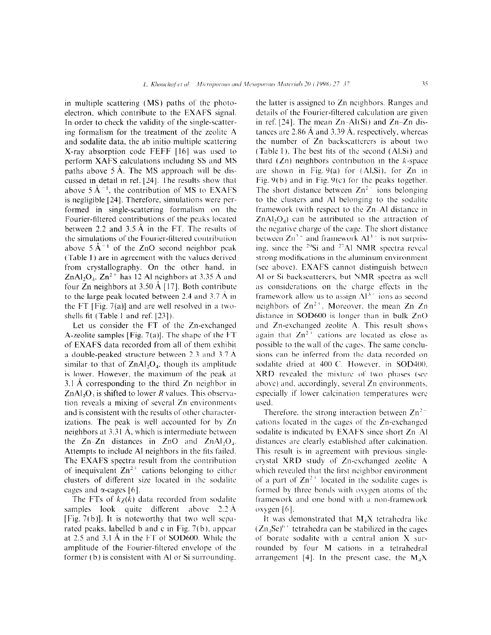in multiple scattering (MS) paths of the photoelectron. which contribute to the EXAFS signal. In order to check the validity of the single-scattering formalism for the treatment of the zeolite A and sodalite data. the ab initio multiple scattering X-ray absorption code FEFF [ 161 was used to perform XAFS calculations including SS and MS paths above 5 A. The MS approach will be discussed in detail in ref. [24]. The results show that above  $5 \text{ Å}^{-1}$ , the contribution of MS to EXAFS is negligible [24]. Therefore, simulations were performed in single-scattering formalism on the Fourier-filtered contributions of the peaks located between 2.2 and 3.5 A in the FT. The results of the simulations of the Fourier-filtered contribution above  $5 \text{ Å}^{-1}$  of the ZnO second neighbor peak (Table 1) are in agreement with the values derived from crystallography. On the other hand. in ZnAl, $O<sub>4</sub>$ , Zn<sup>2+</sup> has 12 Al neighbors at 3.35 Å and four Zn neighbors at  $3.50 \text{ Å}$  [17]. Both contribute to the large peak located between  $2.4$  and  $3.7 \text{ A}$  in the FT [Fig. 7(a)] and are well resolved in a twoshells fit (Table 1 and ref. [23]).

Let us consider the FT of the Zn-exchanged A-zeolite samples [Fig.  $7(a)$ ]. The shape of the FT of EXAFS data recorded from all of them exhibit a double-peaked structure between 2.3 and 3.7 A similar to that of  $ZnAl<sub>2</sub>O<sub>4</sub>$ , though its amplitude is lower. However, the maximum of the peak at 3.1 A corresponding to the third Zn neighbor in  $ZnAl<sub>2</sub>O<sub>4</sub>$  is shifted to lower R values. This observation reveals a mixing of several Zn environments and is consistent with the results of other characterizations. The peak is well accounted for by Zn neighbors at  $3.31 \text{ Å}$ , which is intermediate between the  $Zn-Zn$  distances in  $ZnO$  and  $ZnAl_2O<sub>4</sub>$ . Attempts to include Al neighbors in the fits failed. The EXAFS spectra result from the contribution of inequivalent  $Zn^{2+}$  cations belonging to either clusters of different size located in the sodalite cages and  $\alpha$ -cages [6].

The FTs of  $k\chi(k)$  data recorded from sodalite samples look quite different above 2.2 Å [Fig.  $7(b)$ ]. It is noteworthy that two well separated peaks. labelled b and c in Fig. 7(b), appear  $\frac{1}{2}$  and  $\frac{1}{2}$  and  $\frac{1}{2}$  in the FT of SOD  $\frac{1}{2}$  and  $\frac{1}{2}$  the theory is the theory in the theory is the theory in the theory is the theory is the theory is the theory is the three theory is the three at 20 and  $\sigma$ . The Fourier-tiltered envelope number-tiltered envelope nt' the theory amplitude of the Fourier-filtered envelope of the former  $(b)$  is consistent with Al or Si surrounding.

the latter is assigned to Zn neighbors. Ranges and details of the Fourier-filtered calculation are given in ref. [24]. The mean  $Zn-AI(Si)$  and  $Zn-Zn$  distances are 2.86  $\AA$  and 3.39  $\AA$ , respectively, whereas the number of Zn backscatterers is about two (Table 1). The best fits of the second  $(AI,Si)$  and third ( $Zn$ ) neighbors contribution in the *k*-space are shown in Fig.  $9(a)$  for (Al,Si), for Zn in Fig. 9(b) and in Fig. 9(c) for the peaks together. The short distance between  $Zn^2$  ions belonging to the clusters and Al belonging to the sodalite framework (with respect to the  $Zn$ -Al distance in  $ZnAl<sub>2</sub>O<sub>4</sub>$ ) can be attributed to the attraction of the negative charge of the cugc. The short distance between  $\text{Zn}^{2+}$  and framework  $\text{Al}^{3+}$  is not surprising, since the  $^{29}Si$  and  $^{27}Al$  NMR spectra reveal strong modifications in the aluminum environment (see above). EXAFS cannot distinguish between Al or Si backscatterers, but NMR spectra as well as considerations on the charge effects in the framework allow us to assign  $Al<sup>3+</sup>$  ions as second neighbors of  $Zn^{2+}$ . Moreover, the mean  $Zn-Zn$ distance in SOD600 is longer than in bulk ZnO and  $Zn$ -exchanged zeolite A. This result shows again that  $Zn^{2+}$  cations are located as close as possible to the wall of the cages. The same conclusions can be inferred from the data recorded on sodalite dried at 400 C. However, in SOD400. XRD revealed the mixture of two phases (see above) and, accordingly, several Zn environments. especially if lower calcination temperatures were used.

Therefore, the strong interaction between  $Zn^{2-}$ cations located in the cages of the Zn-cxchangcd sodalite is indicated by EXAFS since short Zn-Al distances are clearly established alter calcination. This result is in agreement with previous singlecrystal XRD study of Zn-exchanged zeolite A which revealed that the first neighbor environment of a part of  $\text{Zn}^2$  ' located in the sodalite cages is of a part of zh a focated in the southne eages is formed by three bonds with oxygen atoms or the framework and one bond with a non-framework<br>oxygen [6].

It was demonstrated that  $M_A X$  tetrahedra like The was demonstrated that  $M_4/X$  tetrahedra in  $\ell^2$   $\ell^2$  of  $S^{\text{eff}}$   $\ell^2$  and can be calculated in  $(\mathsf{z}_4$ .  $(\mathsf{z}_5)$  be defined a can be stabilized in the cages of borate sodalite with a central anion  $X$  surrounded by four M cations in a tetrahedral arrangement [4]. In the present case, the  $M<sub>4</sub>X$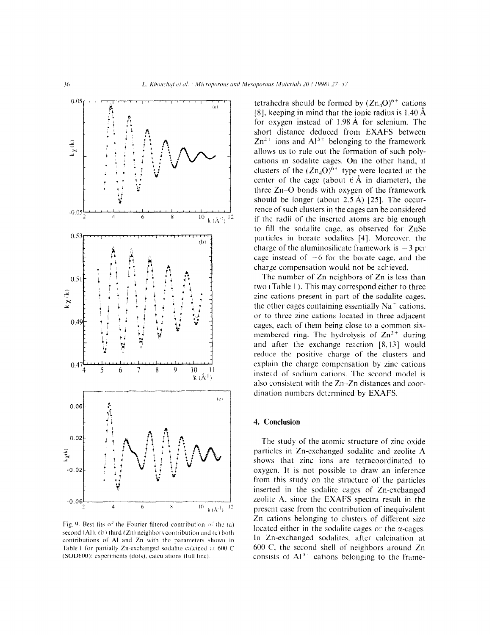

Fig. 9. Best fits of the Fourier filtered contribution of the (a) second  $(Al)$ ,  $(b)$  third  $(Zn)$  neighbors contribution and  $(c)$  both contributions of Al and Zn with the parameters shown in Table 1 for partially Zn-exchanged sodalite calcined at 600 C (SOD600): experiments (dots), calculations (full line).

tetrahedra should be formed by  $(Zn<sub>4</sub>O)^{6+}$  cations [8], keeping in mind that the ionic radius is  $1.40 \text{ Å}$ for oxygen instead of 1.98 A for selenium. The short distance deduced from EXAFS between  $Zn^{2+}$  ions and  $Al^{3+}$  belonging to the framework allows us to rule out the formation of such polycations in sodalite cages. On the other hand, if clusters of the  $(Zn_4O)^{6+}$  type were located at the center of the cage (about  $6 \text{ Å}$  in diameter), the three Zn-0 bonds with oxygen of the framework should be longer (about  $2.5 \text{ Å}$ ) [25]. The occurrence of such clusters in the cages can be considered if the radii of the inserted atoms are big enough to fill the sodalite cage, as observed for ZnSe particles in borate sodalites [4]. Moreover, the charge of the aluminosilicate framework is  $-3$  per cage instead of  $-6$  for the borate cage, and the charge compensation would not be achieved.

The number of Zn neighbors of Zn is less than two (Table 1). This may correspond either to three zinc cations present in part of the sodalite cages, the other cages containing essentially  $Na<sup>+</sup>$  cations. or to three zinc cations located in three adjacent cages, each of them being close to a common sixmembered ring. The hydrolysis of  $\text{Zn}^{2+}$  during and after the exchange reaction [8,13] would reduce the positive charge of the clusters and explain the charge compensation by zinc cations instead of sodium cations. The second model is also consistent with the  $Zn - Zn$  distances and coordination numbers determined by EXAFS.

# 4. Conclusion

The study of the atomic structure of zinc oxide particles in Zn-exchanged sodalite and zeolite A. shows that zinc ions are tetracoordinated to oxygen. It is not possible to draw an inference from this study on the structure of the particles inserted in the sodalite cages of Zn-exchanged zeolite A, since the EXAFS spectra result in the present case from the contribution of inequivalent Zn cations belonging to clusters of different size located either in the sodalitc cages or the z-cages.  $\sum_{i=1}^{n}$   $\sum_{i=1}^{n}$  and  $\sum_{i=1}^{n}$  and  $\sum_{i=1}^{n}$  at calcination at calcination at calcination at calcination at calcination at calcination at calcination at calcination at calcination at calcination at calcinat In Zn-exchanged sodalites, after calcination at 600 C, the second shell of neighbors around Zn consists of  $Al^{3+}$  cations belonging to the frame